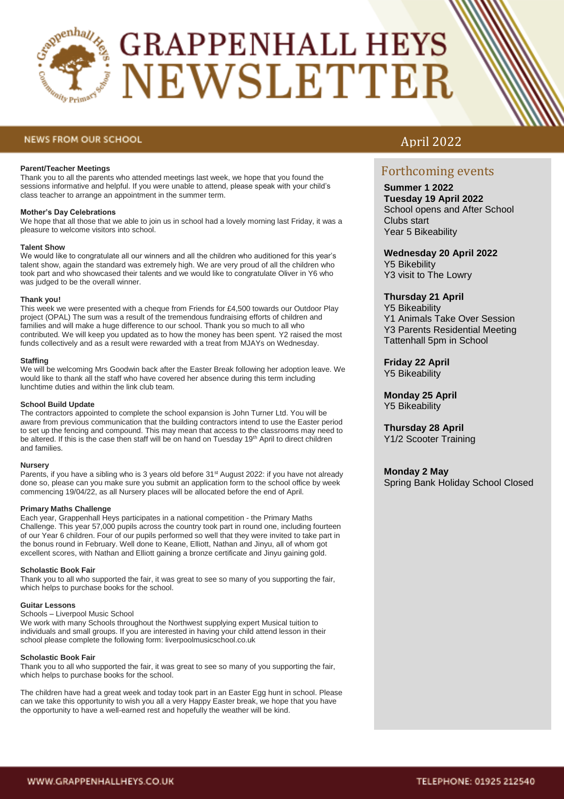

# **GRAPPENHALL HEYS NEWSLETTER**

# **NEWS FROM OUR SCHOOL**

### **Parent/Teacher Meetings**

Thank you to all the parents who attended meetings last week, we hope that you found the sessions informative and helpful. If you were unable to attend, please speak with your child's class teacher to arrange an appointment in the summer term.

## **Mother's Day Celebrations**

We hope that all those that we able to join us in school had a lovely morning last Friday, it was a pleasure to welcome visitors into school.

#### **Talent Show**

We would like to congratulate all our winners and all the children who auditioned for this year's talent show, again the standard was extremely high. We are very proud of all the children who took part and who showcased their talents and we would like to congratulate Oliver in Y6 who was judged to be the overall winner.

#### **Thank you!**

This week we were presented with a cheque from Friends for £4,500 towards our Outdoor Play project (OPAL) The sum was a result of the tremendous fundraising efforts of children and families and will make a huge difference to our school. Thank you so much to all who contributed. We will keep you updated as to how the money has been spent. Y2 raised the most funds collectively and as a result were rewarded with a treat from MJAYs on Wednesday.

#### **Staffing**

We will be welcoming Mrs Goodwin back after the Easter Break following her adoption leave. We would like to thank all the staff who have covered her absence during this term including lunchtime duties and within the link club team.

### **School Build Update**

The contractors appointed to complete the school expansion is John Turner Ltd. You will be aware from previous communication that the building contractors intend to use the Easter period to set up the fencing and compound. This may mean that access to the classrooms may need to be altered. If this is the case then staff will be on hand on Tuesday 19<sup>th</sup> April to direct children and families.

#### **Nursery**

Parents, if you have a sibling who is 3 years old before 31<sup>st</sup> August 2022: if you have not already done so, please can you make sure you submit an application form to the school office by week commencing 19/04/22, as all Nursery places will be allocated before the end of April.

# **Primary Maths Challenge**

Each year, Grappenhall Heys participates in a national competition - the Primary Maths Challenge. This year 57,000 pupils across the country took part in round one, including fourteen of our Year 6 children. Four of our pupils performed so well that they were invited to take part in the bonus round in February. Well done to Keane, Elliott, Nathan and Jinyu, all of whom got excellent scores, with Nathan and Elliott gaining a bronze certificate and Jinyu gaining gold.

#### **Scholastic Book Fair**

Thank you to all who supported the fair, it was great to see so many of you supporting the fair, which helps to purchase books for the school.

#### **Guitar Lessons**

Schools – Liverpool Music School

We work with many Schools throughout the Northwest supplying expert Musical tuition to individuals and small groups. If you are interested in having your child attend lesson in their school please complete the following form: liverpoolmusicschool.co.uk

# **Scholastic Book Fair**

Thank you to all who supported the fair, it was great to see so many of you supporting the fair, which helps to purchase books for the school.

The children have had a great week and today took part in an Easter Egg hunt in school. Please can we take this opportunity to wish you all a very Happy Easter break, we hope that you have the opportunity to have a well-earned rest and hopefully the weather will be kind.

# April 2022

# Forthcoming events

**Summer 1 2022 Tuesday 19 April 2022** School opens and After School Clubs start Year 5 Bikeability

# **Wednesday 20 April 2022** Y5 Bikebility Y3 visit to The Lowry

# **Thursday 21 April**

Y5 Bikeability Y1 Animals Take Over Session Y3 Parents Residential Meeting Tattenhall 5pm in School

**Friday 22 April** Y5 Bikeability

**Monday 25 April** Y5 Bikeability

**Thursday 28 April**  Y1/2 Scooter Training

# **Monday 2 May**

Spring Bank Holiday School Closed